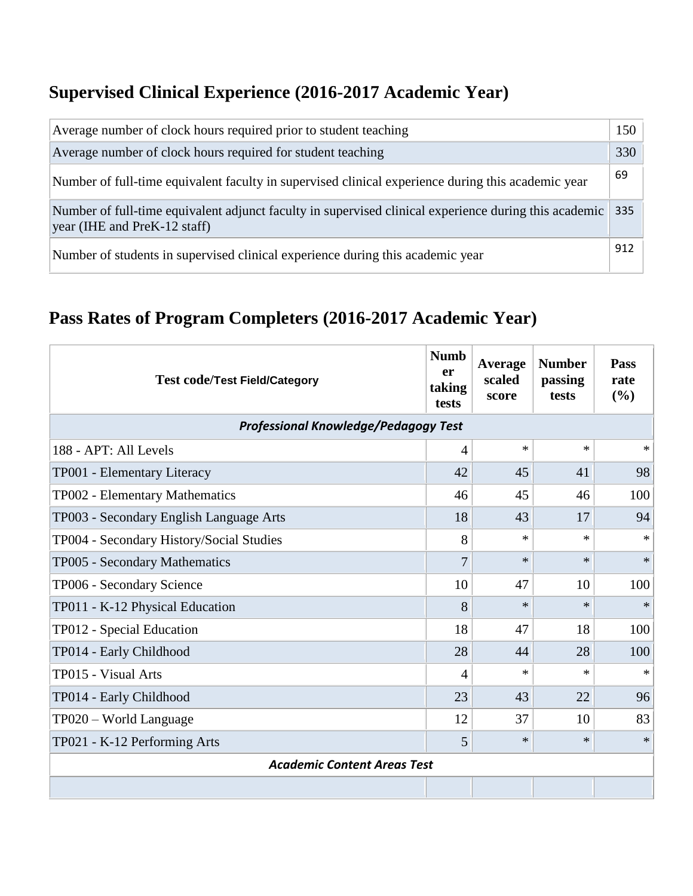## **Supervised Clinical Experience (2016-2017 Academic Year)**

| Average number of clock hours required prior to student teaching                                                                      | 150 |
|---------------------------------------------------------------------------------------------------------------------------------------|-----|
| Average number of clock hours required for student teaching                                                                           | 330 |
| Number of full-time equivalent faculty in supervised clinical experience during this academic year                                    | 69  |
| Number of full-time equivalent adjunct faculty in supervised clinical experience during this academic<br>year (IHE and PreK-12 staff) | 335 |
| Number of students in supervised clinical experience during this academic year                                                        | 912 |

## **Pass Rates of Program Completers (2016-2017 Academic Year)**

| <b>Test code/Test Field/Category</b>        | <b>Numb</b><br>er<br>taking<br>tests | Average<br>scaled<br>score | <b>Number</b><br>passing<br>tests | <b>Pass</b><br>rate<br>(%) |  |  |
|---------------------------------------------|--------------------------------------|----------------------------|-----------------------------------|----------------------------|--|--|
| <b>Professional Knowledge/Pedagogy Test</b> |                                      |                            |                                   |                            |  |  |
| 188 - APT: All Levels                       | $\overline{4}$                       | $\ast$                     | $\ast$                            | $\ast$                     |  |  |
| TP001 - Elementary Literacy                 | 42                                   | 45                         | 41                                | 98                         |  |  |
| TP002 - Elementary Mathematics              | 46                                   | 45                         | 46                                | 100                        |  |  |
| TP003 - Secondary English Language Arts     | 18                                   | 43                         | 17                                | 94                         |  |  |
| TP004 - Secondary History/Social Studies    | 8                                    | $\ast$                     | $\ast$                            | $\ast$                     |  |  |
| TP005 - Secondary Mathematics               | 7                                    | $\ast$                     | $\ast$                            | $\ast$                     |  |  |
| TP006 - Secondary Science                   | 10                                   | 47                         | 10                                | 100                        |  |  |
| TP011 - K-12 Physical Education             | 8                                    | $\ast$                     | $\ast$                            | $\ast$                     |  |  |
| TP012 - Special Education                   | 18                                   | 47                         | 18                                | 100                        |  |  |
| TP014 - Early Childhood                     | 28                                   | 44                         | 28                                | 100                        |  |  |
| TP015 - Visual Arts                         | $\overline{4}$                       | $\ast$                     | $\ast$                            | $\ast$                     |  |  |
| TP014 - Early Childhood                     | 23                                   | 43                         | 22                                | 96                         |  |  |
| TP020 – World Language                      | 12                                   | 37                         | 10                                | 83                         |  |  |
| TP021 - K-12 Performing Arts                | 5                                    | $\ast$                     | $\ast$                            | $\ast$                     |  |  |
| <b>Academic Content Areas Test</b>          |                                      |                            |                                   |                            |  |  |
|                                             |                                      |                            |                                   |                            |  |  |